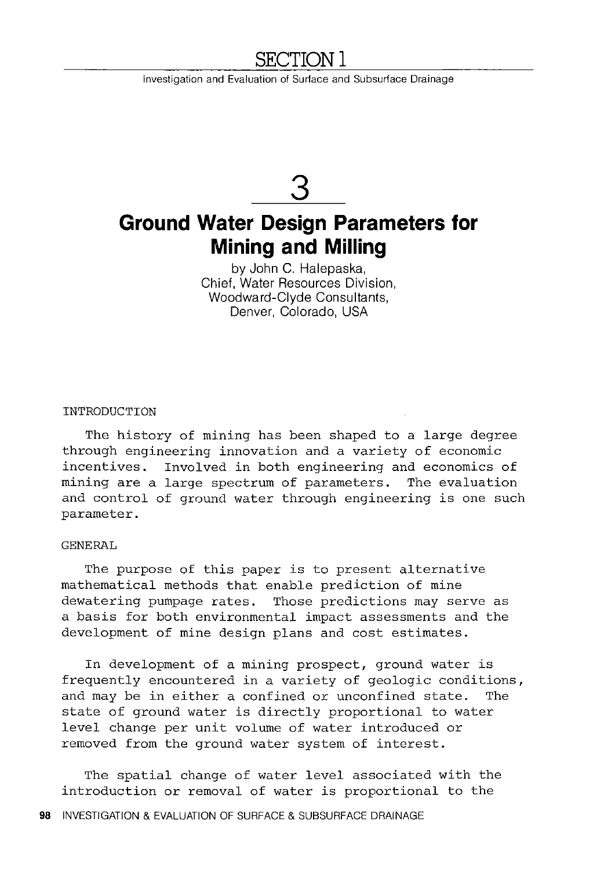# **SECTIONl**

Investigation and Evaluation of Surface and Subsurface Drainage

# **3**

# **Ground Water Design Parameters for Mining and Milling**

by John C. Halepaska, Chief, Water Resources Division, Woodward-Clyde Consultants, Denver, Colorado, USA

INTRODUCTION

The history of mining has been shaped to a large degree through engineering innovation and a variety of economic incentives. Involved in both engineering and economics of mining are a large spectrum of parameters. The evaluation and control of ground water through engineering is one such parameter.

### GENERAL

The purpose of this paper is to present alternative mathematical methods that enable prediction of mine dewatering pumpage rates. Those predictions may serve as a basis for both environmental impact assessments and the development of mine design plans and cost estimates.

In development of a mining prospect, ground water is frequently encountered in a variety of geologic conditions, and may be in either a confined or unconfined state. The state of ground water is directly proportional to water level change per unit volume of water introduced or removed from the ground water system of interest.

The spatial change of water level associated with the introduction or removal of water is proportional to the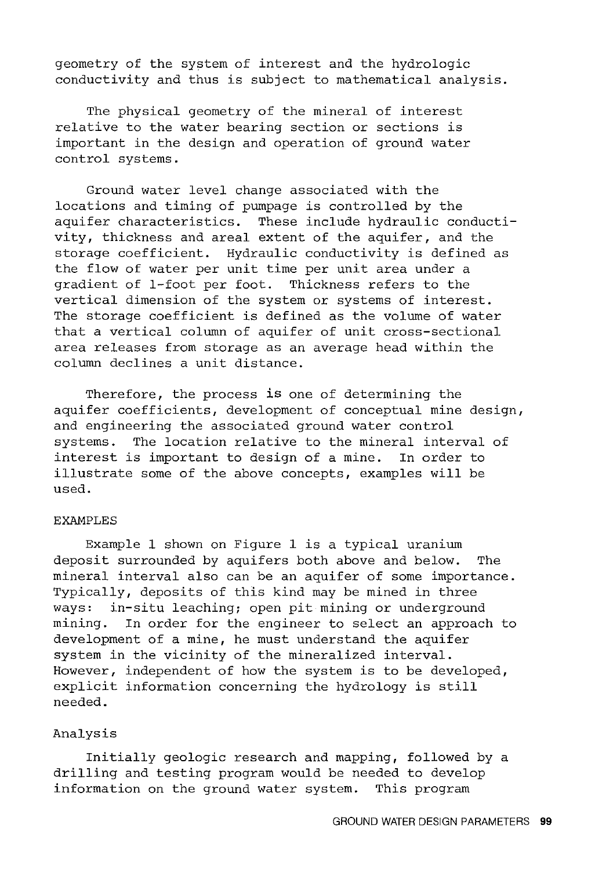geometry of the system of interest and the hydrologic conductivity and thus is subject to mathematical analysis.

The physical geometry of the mineral of interest relative to the water bearing section or sections is important in the design and operation of ground water control systems.

Ground water level change associated with the locations and timing of pumpage is controlled by the aquifer characteristics. These include hydraulic conductivity, thickness and areal extent of the aquifer, and the storage coefficient. Hydraulic conductivity is defined as the flow of water per unit time per unit area under a gradient of 1-foot per foot. Thickness refers to the vertical dimension of the system or systems of interest. The storage coefficient is defined as the volume of water that a vertical column of aquifer of unit cross-sectional area releases from storage as an average head within the column declines a unit distance.

Therefore, the process is one of determining the aquifer coefficients, development of conceptual mine design, and engineering the associated ground water control systems. The location relative to the mineral interval of interest is important to design of a mine. In order to illustrate some of the above concepts, examples will be used.

#### EXAMPLES

Example 1 shown on Figure 1 is a typical uranium deposit surrounded by aquifers both above and below. The mineral interval also can be an aquifer of some importance. Typically, deposits of this kind may be mined in three ways: in-situ leaching; open pit mining or underground mining. In order for the engineer to select an approach to development of a mine, he must understand the aquifer system in the vicinity of the mineralized interval. However, independent of how the system is to be developed, explicit information concerning the hydrology is still needed.

## Analysis

Initially geologic research and mapping, followed by a drilling and testing program would be needed to develop information on the ground water system. This program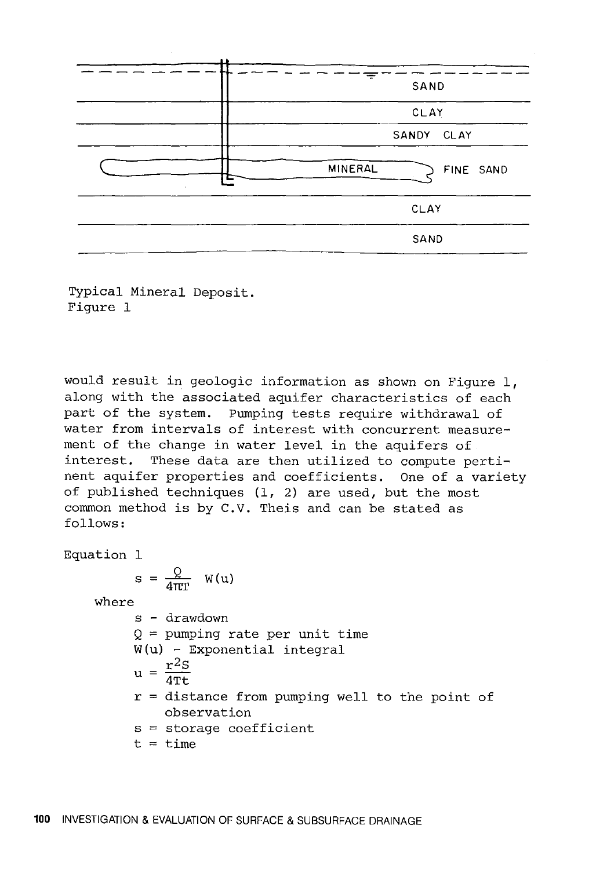| $\sim$<br> |                      |
|------------|----------------------|
|            | SAND                 |
|            | CLAY                 |
|            | SANDY CLAY           |
| ٠          | MINERAL<br>FINE SAND |
|            | CLAY                 |
|            | SAND                 |

Typical Mineral Deposit. Figure 1

would result in geologic information as shown on Figure  $1$ , along with the associated aquifer characteristics of each part of the system. Pumping tests require withdrawal of water from intervals of interest with concurrent measurement of the change in water level in the aquifers of interest. These data are then utilized to compute pertinent aquifer properties and coefficients. One of a variety of published techniques (1, 2) are used, but the most common method is by C.V. Theis and can be stated as follows:

Equation 1

$$
s = \frac{Q}{4\pi T} \quad W(u)
$$

where

- s drawdown  $Q =$  pumping rate per unit time W(u) - Exponential integral  $u = \frac{r^2S}{4Tt}$
- $r =$  distance from pumping well to the point of observation
- s = storage coefficient

 $t = time$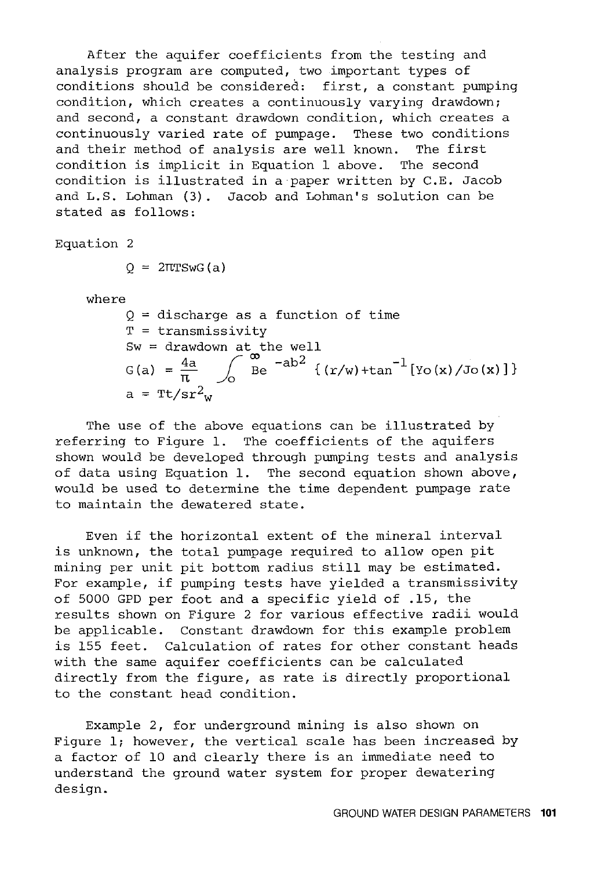After the aquifer coefficients from the testing and analysis program are computed, two important types of conditions should be considered: first, a constant pumping condition, which creates a continuously varying drawdown; and second, a constant drawdown condition, which creates a continuously varied rate of pumpage. These two conditions and their method of analysis are well known. The first condition is implicit in Equation 1 above. The second condition is illustrated in a paper written by C.E. Jacob and L.S. Lohman (3). Jacob and Lohman's solution can be stated as follows:

Equation 2

 $Q = 2\pi TSwG(a)$ 

where

 $Q =$  discharge as a function of time T = transmissivity Sw = drawdown at the well<br>
G(a) =  $\frac{4a}{\pi}$   $\int_{0}^{\infty}$  Be  $^{-ab^{2}}$  {(r/w)+tan<sup>-1</sup> [Yo(x)/Jo(x)]}  $a = \text{rt/sr}^2$ w

The use of the above equations can be illustrated by referring to Figure 1. The coefficients of the aquifers shown would be developed through pumping tests and analysis of data using Equation 1. The second equation shown above, would be used to determine the time dependent pumpage rate to maintain the dewatered state.

Even if the horizontal extent of the mineral interval is unknown, the total pumpage required to allow open pit mining per unit pit bottom radius still may be estimated. For example, if pumping tests have yielded a transmissivity of 5000 GPO per foot and a specific yield of .15, the results shown on Figure 2 for various effective radii would be applicable. Constant drawdown for this example problem is 155 feet. Calculation of rates for other constant heads with the same aquifer coefficients can be calculated directly from the figure, as rate is directly proportional to the constant head condition.

Example 2, for underground mining is also shown on Figure l; however, the vertical scale has been increased by a factor of 10 and clearly there is an immediate need to understand the ground water system for proper dewatering design.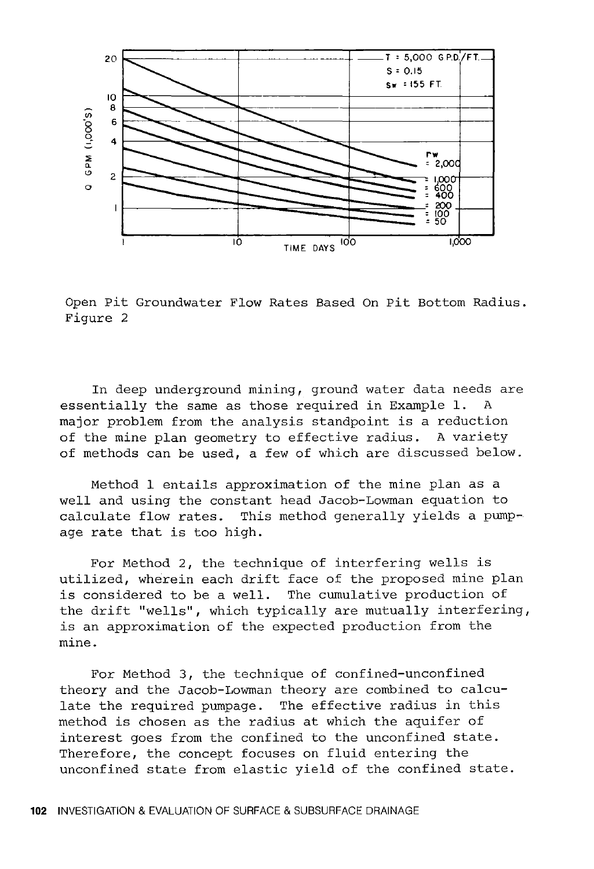

Open Pit Groundwater Flow Rates Based On Pit Bottom Radius. Figure 2

In deep underground mining, ground water data needs are essentially the same as those required in Example 1. A major problem from the analysis standpoint is a reduction of the mine plan geometry to effective radius. A variety of methods can be used, a few of which are discussed below.

Method l entails approximation of the mine plan as a well and using the constant head Jacob-Lowman equation to calculate flow rates. This method generally yields a pum This method generally yields a pumpage rate that is too high.

For Method 2, the technique of interfering wells is utilized, wherein each drift face of the proposed mine plan is considered to be a well. The cumulative production of the drift "wells", which typically are mutually interfering, is an approximation of the expected production from the mine.

For Method 3, the technique of confined-unconfined theory and the Jacob-Lowman theory are combined to calculate the required pumpage. The effective radius in this method is chosen as the radius at which the aquifer of interest goes from the confined to the unconfined state. Therefore, the concept focuses on fluid entering the unconfined state from elastic yield of the confined state.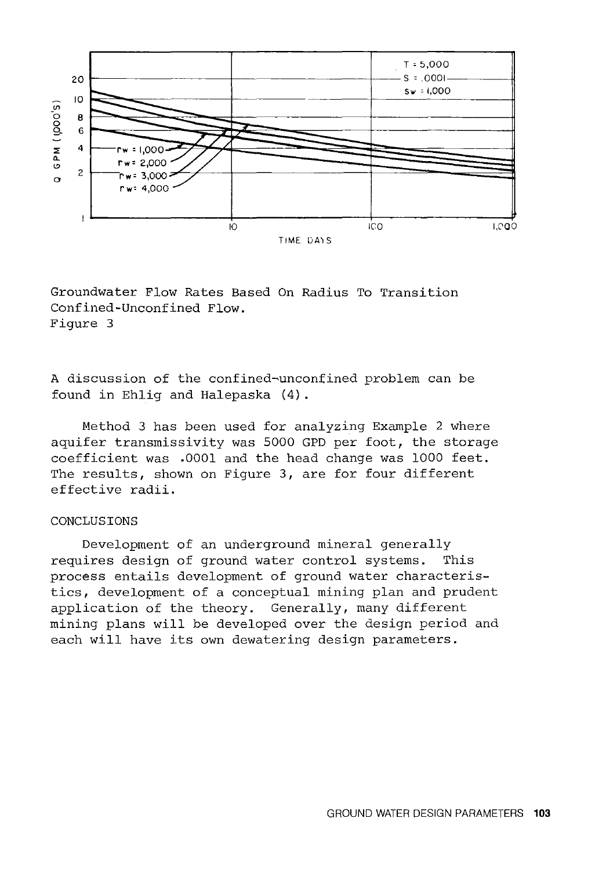

Groundwater Flow Rates Based On Radius To Transition Confined-Unconfined Flow. Figure 3

A discussion of the confined-unconfined problem can be found *in* Ehlig and Halepaska (4) .

Method 3 has been used for analyzing Example 2 where aquifer transmissivity was 5000 GPD per foot, the storage coefficient was .0001 and the head change was 1000 feet. The results, shown on Figure 3, are for four different effective *radii.* 

## CONCLUSIONS

Development of an underground mineral generally requires design of ground water control systems. This process entails development of ground water characteristics, development of a conceptual mining plan and prudent application of the theory. Generally, many different mining plans will be developed over the design period and each will have its own dewatering design parameters.